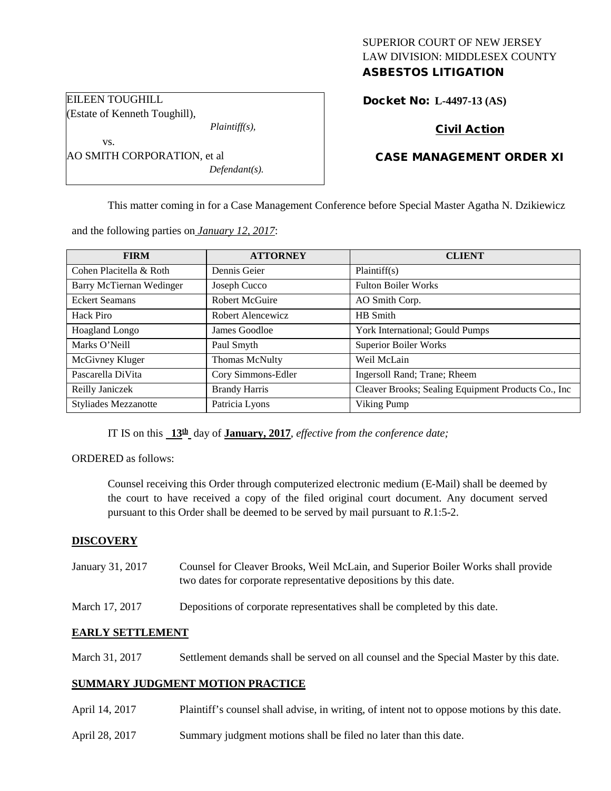# SUPERIOR COURT OF NEW JERSEY LAW DIVISION: MIDDLESEX COUNTY

# ASBESTOS LITIGATION

Docket No: **L-4497-13 (AS)** 

## Civil Action

| <b>v</b>                    |                  |
|-----------------------------|------------------|
| AO SMITH CORPORATION, et al |                  |
|                             | $Defendant(s)$ . |

EILEEN TOUGHILL

vo

(Estate of Kenneth Toughill),

### CASE MANAGEMENT ORDER XI

This matter coming in for a Case Management Conference before Special Master Agatha N. Dzikiewicz

and the following parties on *January 12, 2017*:

*Plaintiff(s),*

| <b>FIRM</b>                 | <b>ATTORNEY</b>       | <b>CLIENT</b>                                       |
|-----------------------------|-----------------------|-----------------------------------------------------|
| Cohen Placitella & Roth     | Dennis Geier          | Plaintiff(s)                                        |
| Barry McTiernan Wedinger    | Joseph Cucco          | <b>Fulton Boiler Works</b>                          |
| <b>Eckert Seamans</b>       | <b>Robert McGuire</b> | AO Smith Corp.                                      |
| Hack Piro                   | Robert Alencewicz     | HB Smith                                            |
| <b>Hoagland Longo</b>       | James Goodloe         | York International; Gould Pumps                     |
| Marks O'Neill               | Paul Smyth            | <b>Superior Boiler Works</b>                        |
| McGivney Kluger             | <b>Thomas McNulty</b> | Weil McLain                                         |
| Pascarella DiVita           | Cory Simmons-Edler    | Ingersoll Rand; Trane; Rheem                        |
| Reilly Janiczek             | <b>Brandy Harris</b>  | Cleaver Brooks; Sealing Equipment Products Co., Inc |
| <b>Styliades Mezzanotte</b> | Patricia Lyons        | Viking Pump                                         |

IT IS on this **13th** day of **January, 2017**, *effective from the conference date;*

# ORDERED as follows:

Counsel receiving this Order through computerized electronic medium (E-Mail) shall be deemed by the court to have received a copy of the filed original court document. Any document served pursuant to this Order shall be deemed to be served by mail pursuant to *R*.1:5-2.

#### **DISCOVERY**

- January 31, 2017 Counsel for Cleaver Brooks, Weil McLain, and Superior Boiler Works shall provide two dates for corporate representative depositions by this date.
- March 17, 2017 Depositions of corporate representatives shall be completed by this date.

#### **EARLY SETTLEMENT**

March 31, 2017 Settlement demands shall be served on all counsel and the Special Master by this date.

### **SUMMARY JUDGMENT MOTION PRACTICE**

- April 14, 2017 Plaintiff's counsel shall advise, in writing, of intent not to oppose motions by this date.
- April 28, 2017 Summary judgment motions shall be filed no later than this date.